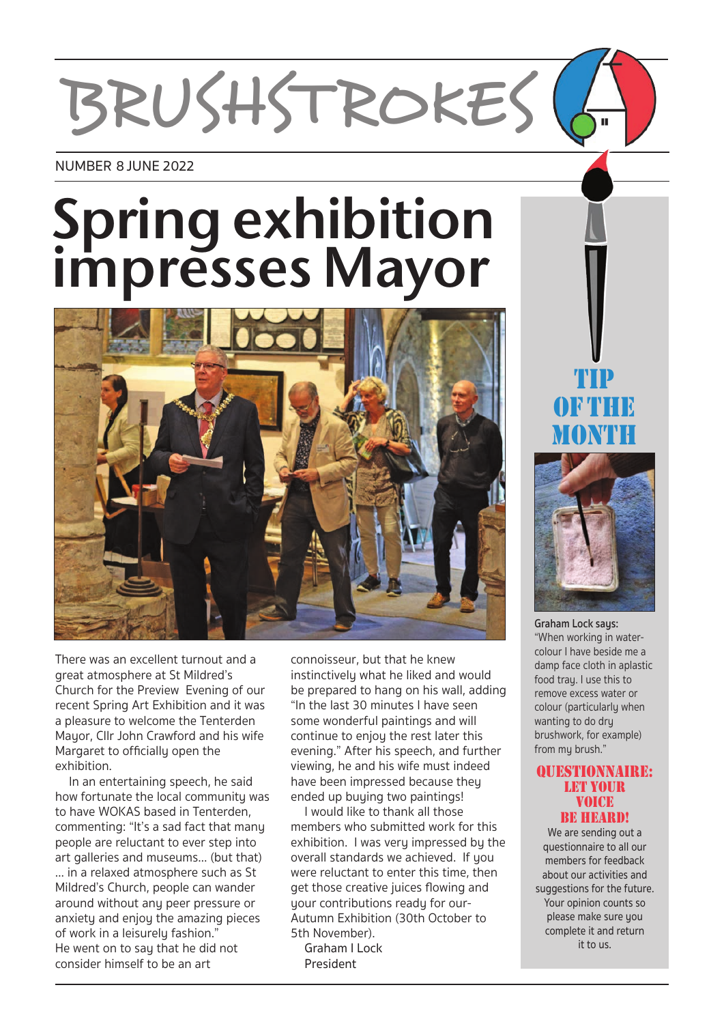# BRUSHSTROKES

#### NUMBER 8 JUNE 2022

# **Spring exhibition impressesMayor**



There was an excellent turnout and a great atmosphere at St Mildred's Church for the Preview Evening of our recent Spring Art Exhibition and it was a pleasure to welcome the Tenterden Mayor, Cllr John Crawford and his wife Margaret to officially open the exhibition.

 In an entertaining speech, he said how fortunate the local community was to have WOKAS based in Tenterden, commenting: "It's a sad fact that many people are reluctant to ever step into art galleries and museums… (but that) … in a relaxed atmosphere such as St Mildred's Church, people can wander around without any peer pressure or anxiety and enjoy the amazing pieces of work in a leisurely fashion." He went on to say that he did not consider himself to be an art

connoisseur, but that he knew instinctively what he liked and would be prepared to hang on his wall, adding "In the last 30 minutes I have seen some wonderful paintings and will continue to enjoy the rest later this evening." After his speech, and further viewing, he and his wife must indeed have been impressed because theu ended up buying two paintings!

 I would like to thank all those members who submitted work for this exhibition. I was very impressed by the overall standards we achieved. If you were reluctant to enter this time, then get those creative juices flowing and your contributions ready for our-Autumn Exhibition (30th October to 5th November).

 Graham I Lock President

TIP OF THE **MONTH** 



**Graham Lock says:**  "When working in watercolour I have beside me a damp face cloth in aplastic food trau. I use this to remove excess water or colour (particularly when wanting to do dry brushwork, for example) from my brush."

#### QUESTIONNAIRE: LET YOUR VOICE BE HEARD!

We are sending out a questionnaire to all our members for feedback about our activities and suggestions for the future. Your opinion counts so please make sure you complete it and return it to us.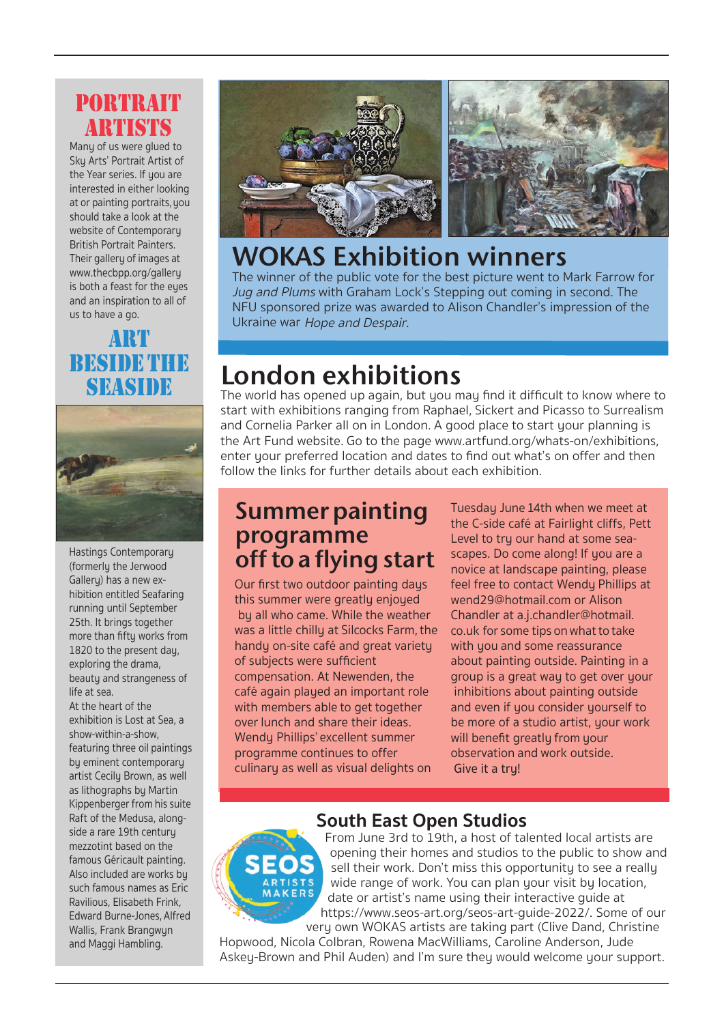#### PORTRAIT **ARTICY KS**

Many of us were glued to Sky Arts' Portrait Artist of the Year series. If you are interested in either looking at or painting portraits,you should take a look at the website of Contemporary British Portrait Painters. Their gallery of images at www.thecbpp.org/gallery is both a feast for the eyes and an inspiration to all of us to have a go.

### ART BESIDE THE SEASIDE



Hastings Contemporary (formerly the Jerwood Galleru) has a new exhibition entitled Seafaring running until September 25th. It brings together more than fifty works from 1820 to the present day, exploring the drama, beauty and strangeness of life at sea.

At the heart of the exhibition is Lost at Sea, a show-within-a-show, featuring three oil paintings by eminent contemporary artist Cecily Brown, as well as lithographs by Martin Kippenberger from his suite Raft of the Medusa, alongside a rare 19th century mezzotint based on the famous Géricault painting. Also included are works by such famous names as Eric Ravilious, Elisabeth Frink, Edward Burne-Jones, Alfred Wallis, Frank Brangwyn and Maggi Hambling.



# **WOKAS Exhibition winners**

The winner of the public vote for the best picture went to Mark Farrow for Jug and Plums with Graham Lock's Stepping out coming in second. The NFU sponsored prize was awarded to Alison Chandler's impression of the Ukraine war Hope and Despair.

# **London exhibitions**

The world has opened up again, but you may find it difficult to know where to start with exhibitions ranging from Raphael, Sickert and Picasso to Surrealism and Cornelia Parker all on in London. A good place to start your planning is the Art Fund website. Go to the page www.artfund.org/whats-on/exhibitions, enter your preferred location and dates to find out what's on offer and then follow the links for further details about each exhibition.

## **Summer painting programme off to a flying start**

Our first two outdoor painting days this summer were greatly enjoyed by all who came. While the weather was a little chilly at Silcocks Farm, the handy on-site café and great variety of subjects were sufficient compensation. At Newenden, the café again played an important role with members able to get together over lunch and share their ideas. Wendy Phillips' excellent summer programme continues to offer culinaru as well as visual delights on

Tuesday June 14th when we meet at the C-side café at Fairlight cliffs, Pett Level to try our hand at some seascapes. Do come along! If you are a novice at landscape painting, please feel free to contact Wendy Phillips at wend29@hotmail.com or Alison Chandler at a.j.chandler@hotmail. co.uk for some tips onwhat to take with you and some reassurance about painting outside. Painting in a group is a great way to get over your inhibitions about painting outside and even if you consider yourself to be more of a studio artist, your work will benefit greatly from your observation and work outside. Give it a tru!

#### **South East Open Studios**



From June 3rd to 19th, a host of talented local artists are opening their homes and studios to the public to show and sell their work. Don't miss this opportunity to see a really wide range of work. You can plan your visit by location, date or artist's name using their interactive guide at https://www.seos-art.org/seos-art-guide-2022/. Some of our very own WOKAS artists are taking part (Clive Dand, Christine

Hopwood, Nicola Colbran, Rowena MacWilliams, Caroline Anderson, Jude Askey-Brown and Phil Auden) and I'm sure they would welcome your support.